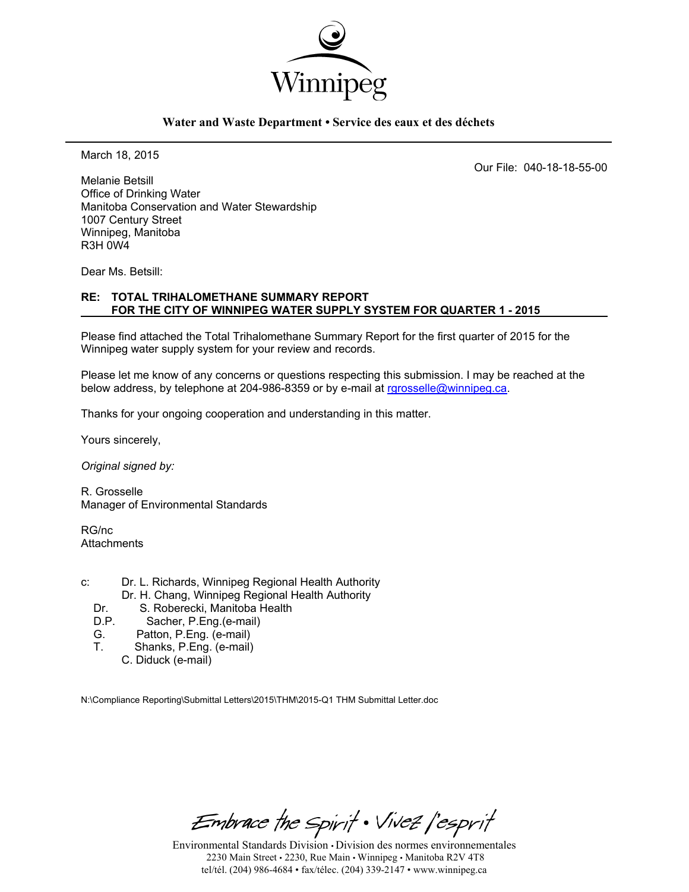

### **Water and Waste Department • Service des eaux et des déchets**

March 18, 2015

Our File: 040-18-18-55-00

Melanie Betsill Office of Drinking Water Manitoba Conservation and Water Stewardship 1007 Century Street Winnipeg, Manitoba R3H 0W4

Dear Ms. Betsill:

### **RE: TOTAL TRIHALOMETHANE SUMMARY REPORT FOR THE CITY OF WINNIPEG WATER SUPPLY SYSTEM FOR QUARTER 1 - 2015**

Please find attached the Total Trihalomethane Summary Report for the first quarter of 2015 for the Winnipeg water supply system for your review and records.

Please let me know of any concerns or questions respecting this submission. I may be reached at the below address, by telephone at 204-986-8359 or by e-mail at rgrosselle@winnipeg.ca.

Thanks for your ongoing cooperation and understanding in this matter.

Yours sincerely,

*Original signed by:* 

R. Grosselle Manager of Environmental Standards

RG/nc **Attachments** 

- c: Dr. L. Richards, Winnipeg Regional Health Authority Dr. H. Chang, Winnipeg Regional Health Authority
	-
	- Dr. S. Roberecki, Manitoba Health<br>D.P. Sacher, P.Eng. (e-mail) Sacher, P.Eng.(e-mail)
	- G. Patton, P.Eng. (e-mail)
	- T. Shanks, P.Eng. (e-mail)
		- C. Diduck (e-mail)

N:\Compliance Reporting\Submittal Letters\2015\THM\2015-Q1 THM Submittal Letter.doc

Embrace the Spirit . Vivez l'esprit

Environmental Standards Division • Division des normes environnementales 2230 Main Street • 2230, Rue Main • Winnipeg • Manitoba R2V 4T8 tel/tél. (204) 986-4684 • fax/télec. (204) 339-2147 • www.winnipeg.ca